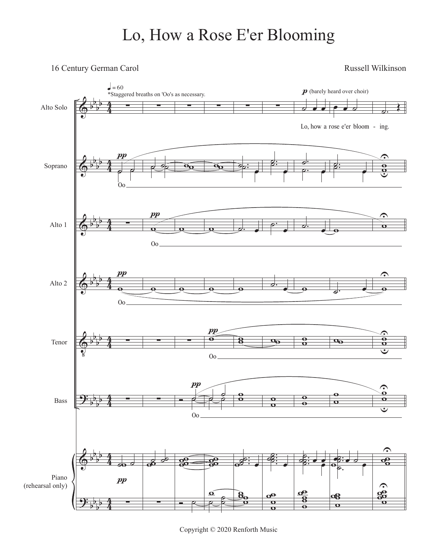## Lo, How a Rose E'er Blooming

## 16 Century German Carol Russell Wilkinson



Copyright © 2020 Renforth Music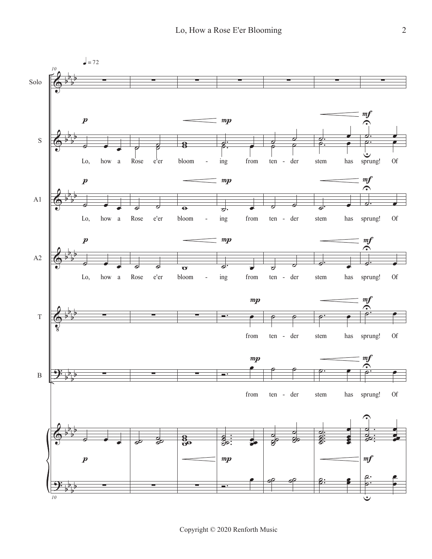